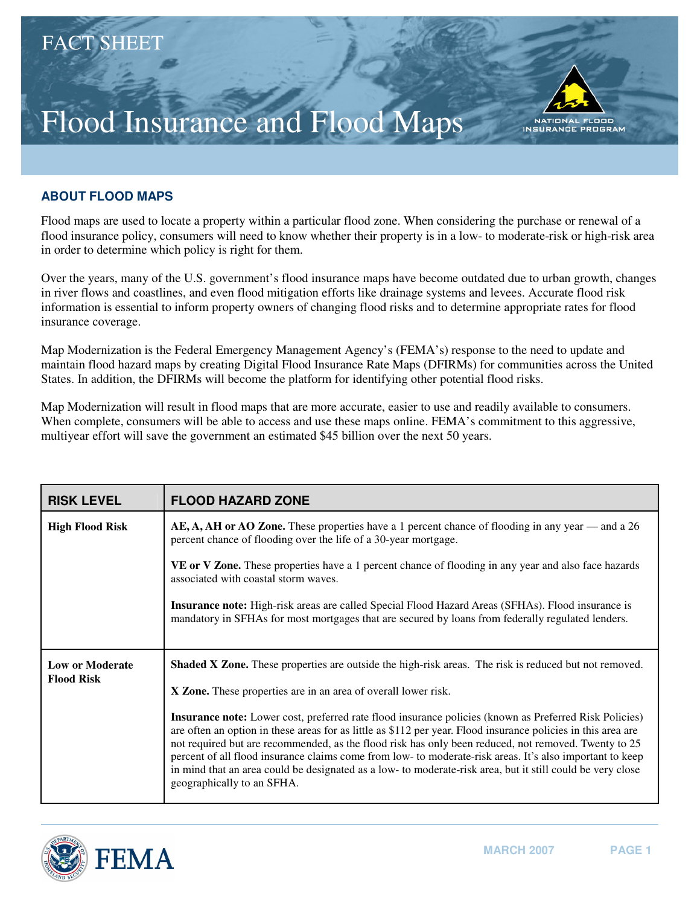## Flood Insurance and Flood Maps



## **ABOUT FLOOD MAPS**

Flood maps are used to locate a property within a particular flood zone. When considering the purchase or renewal of a flood insurance policy, consumers will need to know whether their property is in a low- to moderate-risk or high-risk area in order to determine which policy is right for them.

Over the years, many of the U.S. government's flood insurance maps have become outdated due to urban growth, changes in river flows and coastlines, and even flood mitigation efforts like drainage systems and levees. Accurate flood risk information is essential to inform property owners of changing flood risks and to determine appropriate rates for flood insurance coverage.

Map Modernization is the Federal Emergency Management Agency's (FEMA's) response to the need to update and maintain flood hazard maps by creating Digital Flood Insurance Rate Maps (DFIRMs) for communities across the United States. In addition, the DFIRMs will become the platform for identifying other potential flood risks.

Map Modernization will result in flood maps that are more accurate, easier to use and readily available to consumers. When complete, consumers will be able to access and use these maps online. FEMA's commitment to this aggressive, multiyear effort will save the government an estimated \$45 billion over the next 50 years.

| <b>RISK LEVEL</b>                           | <b>FLOOD HAZARD ZONE</b>                                                                                                                                                                                                                                                                                                                                                                                                                                                                                                                                                                |
|---------------------------------------------|-----------------------------------------------------------------------------------------------------------------------------------------------------------------------------------------------------------------------------------------------------------------------------------------------------------------------------------------------------------------------------------------------------------------------------------------------------------------------------------------------------------------------------------------------------------------------------------------|
| <b>High Flood Risk</b>                      | AE, A, AH or AO Zone. These properties have a 1 percent chance of flooding in any year — and a 26<br>percent chance of flooding over the life of a 30-year mortgage.                                                                                                                                                                                                                                                                                                                                                                                                                    |
|                                             | VE or V Zone. These properties have a 1 percent chance of flooding in any year and also face hazards<br>associated with coastal storm waves.                                                                                                                                                                                                                                                                                                                                                                                                                                            |
|                                             | <b>Insurance note:</b> High-risk areas are called Special Flood Hazard Areas (SFHAs). Flood insurance is<br>mandatory in SFHAs for most mortgages that are secured by loans from federally regulated lenders.                                                                                                                                                                                                                                                                                                                                                                           |
| <b>Low or Moderate</b><br><b>Flood Risk</b> | Shaded X Zone. These properties are outside the high-risk areas. The risk is reduced but not removed.                                                                                                                                                                                                                                                                                                                                                                                                                                                                                   |
|                                             | X Zone. These properties are in an area of overall lower risk.                                                                                                                                                                                                                                                                                                                                                                                                                                                                                                                          |
|                                             | Insurance note: Lower cost, preferred rate flood insurance policies (known as Preferred Risk Policies)<br>are often an option in these areas for as little as \$112 per year. Flood insurance policies in this area are<br>not required but are recommended, as the flood risk has only been reduced, not removed. Twenty to 25<br>percent of all flood insurance claims come from low- to moderate-risk areas. It's also important to keep<br>in mind that an area could be designated as a low- to moderate-risk area, but it still could be very close<br>geographically to an SFHA. |